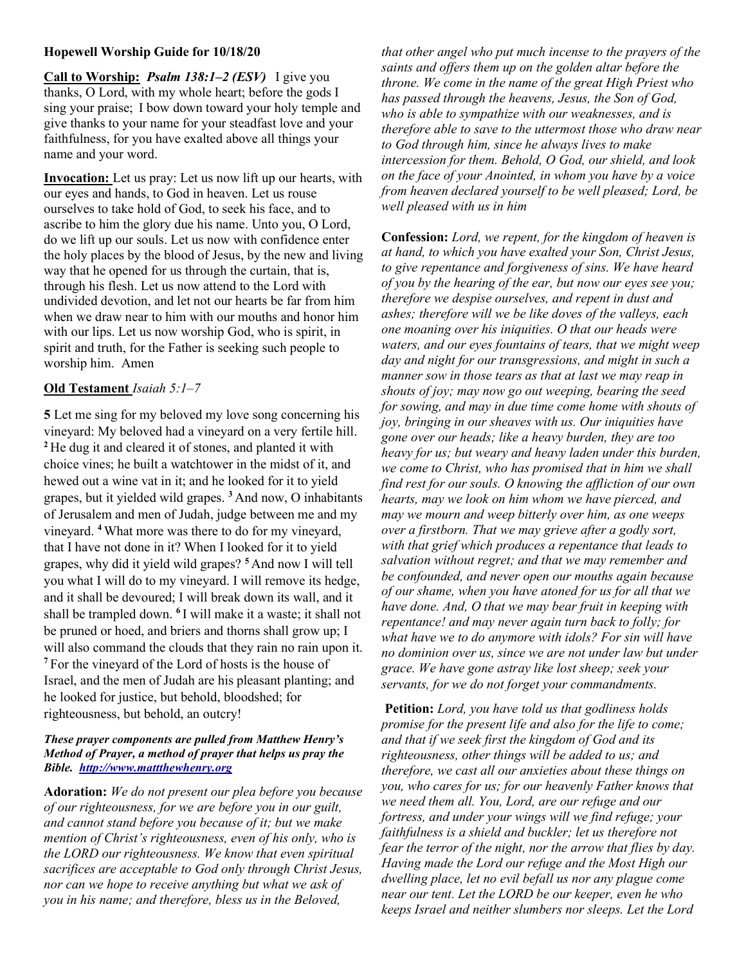## Hopewell Worship Guide for 10/18/20

Call to Worship: *Psalm 138:1–2 (ESV)* I give you thanks, O Lord, with my whole heart; before the gods I sing your praise; I bow down toward your holy temple and give thanks to your name for your steadfast love and your faithfulness, for you have exalted above all things your name and your word. Ĩ

Invocation: Let us pray: Let us now lift up our hearts, with our eyes and hands, to God in heaven. Let us rouse ourselves to take hold of God, to seek his face, and to ascribe to him the glory due his name. Unto you, O Lord, do we lift up our souls. Let us now with confidence enter the holy places by the blood of Jesus, by the new and living way that he opened for us through the curtain, that is, through his flesh. Let us now attend to the Lord with undivided devotion, and let not our hearts be far from him when we draw near to him with our mouths and honor him with our lips. Let us now worship God, who is spirit, in spirit and truth, for the Father is seeking such people to worship him. Amen

### Old Testament Isaiah 5:1–7

5 Let me sing for my beloved my love song concerning his vineyard: My beloved had a vineyard on a very fertile hill. <sup>2</sup>He dug it and cleared it of stones, and planted it with choice vines; he built a watchtower in the midst of it, and hewed out a wine vat in it; and he looked for it to yield grapes, but it yielded wild grapes.  $3$  And now, O inhabitants of Jerusalem and men of Judah, judge between me and my vineyard. <sup>4</sup>What more was there to do for my vineyard, that I have not done in it? When I looked for it to yield grapes, why did it yield wild grapes? <sup>5</sup>And now I will tell you what I will do to my vineyard. I will remove its hedge, and it shall be devoured; I will break down its wall, and it shall be trampled down. <sup>6</sup>I will make it a waste; it shall not be pruned or hoed, and briers and thorns shall grow up; I will also command the clouds that they rain no rain upon it. <sup>7</sup>For the vineyard of the Lord of hosts is the house of Israel, and the men of Judah are his pleasant planting; and he looked for justice, but behold, bloodshed; for righteousness, but behold, an outcry!

#### These prayer components are pulled from Matthew Henry's Method of Prayer, a method of prayer that helps us pray the Bible. http://www.mattthewhenry.org

Adoration: We do not present our plea before you because of our righteousness, for we are before you in our guilt, and cannot stand before you because of it; but we make mention of Christ's righteousness, even of his only, who is the LORD our righteousness. We know that even spiritual sacrifices are acceptable to God only through Christ Jesus, nor can we hope to receive anything but what we ask of you in his name; and therefore, bless us in the Beloved,

that other angel who put much incense to the prayers of the saints and offers them up on the golden altar before the throne. We come in the name of the great High Priest who has passed through the heavens, Jesus, the Son of God, who is able to sympathize with our weaknesses, and is therefore able to save to the uttermost those who draw near to God through him, since he always lives to make intercession for them. Behold, O God, our shield, and look on the face of your Anointed, in whom you have by a voice from heaven declared yourself to be well pleased; Lord, be well pleased with us in him

Confession: Lord, we repent, for the kingdom of heaven is at hand, to which you have exalted your Son, Christ Jesus, to give repentance and forgiveness of sins. We have heard of you by the hearing of the ear, but now our eyes see you; therefore we despise ourselves, and repent in dust and ashes; therefore will we be like doves of the valleys, each one moaning over his iniquities. O that our heads were waters, and our eyes fountains of tears, that we might weep day and night for our transgressions, and might in such a manner sow in those tears as that at last we may reap in shouts of joy; may now go out weeping, bearing the seed for sowing, and may in due time come home with shouts of joy, bringing in our sheaves with us. Our iniquities have gone over our heads; like a heavy burden, they are too heavy for us; but weary and heavy laden under this burden, we come to Christ, who has promised that in him we shall find rest for our souls. O knowing the affliction of our own hearts, may we look on him whom we have pierced, and may we mourn and weep bitterly over him, as one weeps over a firstborn. That we may grieve after a godly sort, with that grief which produces a repentance that leads to salvation without regret; and that we may remember and be confounded, and never open our mouths again because of our shame, when you have atoned for us for all that we have done. And, O that we may bear fruit in keeping with repentance! and may never again turn back to folly; for what have we to do anymore with idols? For sin will have no dominion over us, since we are not under law but under grace. We have gone astray like lost sheep; seek your servants, for we do not forget your commandments.

Petition: Lord, you have told us that godliness holds promise for the present life and also for the life to come; and that if we seek first the kingdom of God and its righteousness, other things will be added to us; and therefore, we cast all our anxieties about these things on you, who cares for us; for our heavenly Father knows that we need them all. You, Lord, are our refuge and our fortress, and under your wings will we find refuge; your faithfulness is a shield and buckler; let us therefore not fear the terror of the night, nor the arrow that flies by day. Having made the Lord our refuge and the Most High our dwelling place, let no evil befall us nor any plague come near our tent. Let the LORD be our keeper, even he who keeps Israel and neither slumbers nor sleeps. Let the Lord